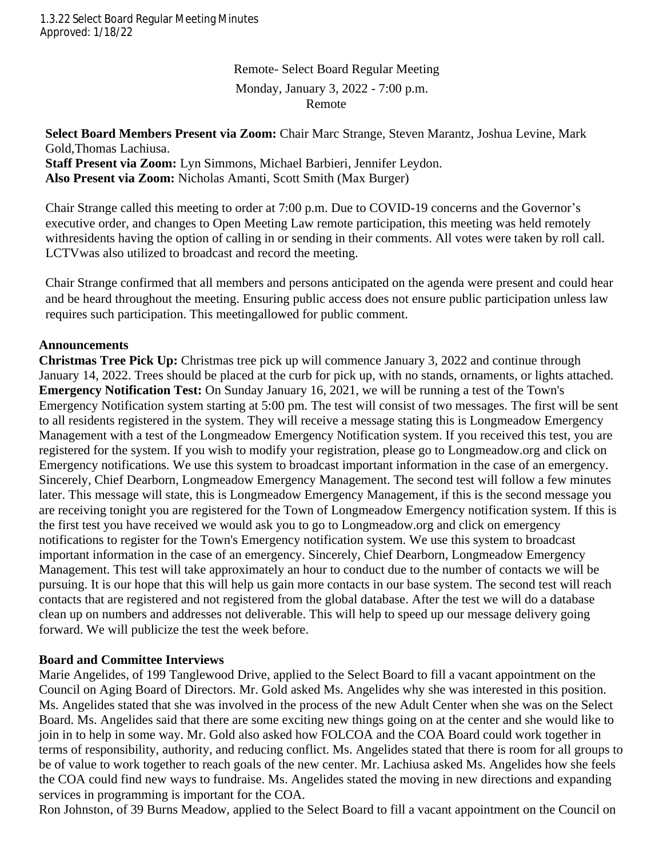Remote- Select Board Regular Meeting Monday, January 3, 2022 - 7:00 p.m. Remote

#### **Select Board Members Present via Zoom:** Chair Marc Strange, Steven Marantz, Joshua Levine, Mark Gold,Thomas Lachiusa.

**Staff Present via Zoom:** Lyn Simmons, Michael Barbieri, Jennifer Leydon. **Also Present via Zoom:** Nicholas Amanti, Scott Smith (Max Burger)

Chair Strange called this meeting to order at 7:00 p.m. Due to COVID-19 concerns and the Governor's executive order, and changes to Open Meeting Law remote participation, this meeting was held remotely withresidents having the option of calling in or sending in their comments. All votes were taken by roll call. LCTVwas also utilized to broadcast and record the meeting.

Chair Strange confirmed that all members and persons anticipated on the agenda were present and could hear and be heard throughout the meeting. Ensuring public access does not ensure public participation unless law requires such participation. This meetingallowed for public comment.

#### **Announcements**

**Christmas Tree Pick Up:** Christmas tree pick up will commence January 3, 2022 and continue through January 14, 2022. Trees should be placed at the curb for pick up, with no stands, ornaments, or lights attached. **Emergency Notification Test:** On Sunday January 16, 2021, we will be running a test of the Town's Emergency Notification system starting at 5:00 pm. The test will consist of two messages. The first will be sent to all residents registered in the system. They will receive a message stating this is Longmeadow Emergency Management with a test of the Longmeadow Emergency Notification system. If you received this test, you are registered for the system. If you wish to modify your registration, please go to Longmeadow.org and click on Emergency notifications. We use this system to broadcast important information in the case of an emergency. Sincerely, Chief Dearborn, Longmeadow Emergency Management. The second test will follow a few minutes later. This message will state, this is Longmeadow Emergency Management, if this is the second message you are receiving tonight you are registered for the Town of Longmeadow Emergency notification system. If this is the first test you have received we would ask you to go to Longmeadow.org and click on emergency notifications to register for the Town's Emergency notification system. We use this system to broadcast important information in the case of an emergency. Sincerely, Chief Dearborn, Longmeadow Emergency Management. This test will take approximately an hour to conduct due to the number of contacts we will be pursuing. It is our hope that this will help us gain more contacts in our base system. The second test will reach contacts that are registered and not registered from the global database. After the test we will do a database clean up on numbers and addresses not deliverable. This will help to speed up our message delivery going forward. We will publicize the test the week before.

# **Board and Committee Interviews**

Marie Angelides, of 199 Tanglewood Drive, applied to the Select Board to fill a vacant appointment on the Council on Aging Board of Directors. Mr. Gold asked Ms. Angelides why she was interested in this position. Ms. Angelides stated that she was involved in the process of the new Adult Center when she was on the Select Board. Ms. Angelides said that there are some exciting new things going on at the center and she would like to join in to help in some way. Mr. Gold also asked how FOLCOA and the COA Board could work together in terms of responsibility, authority, and reducing conflict. Ms. Angelides stated that there is room for all groups to be of value to work together to reach goals of the new center. Mr. Lachiusa asked Ms. Angelides how she feels the COA could find new ways to fundraise. Ms. Angelides stated the moving in new directions and expanding services in programming is important for the COA.

Ron Johnston, of 39 Burns Meadow, applied to the Select Board to fill a vacant appointment on the Council on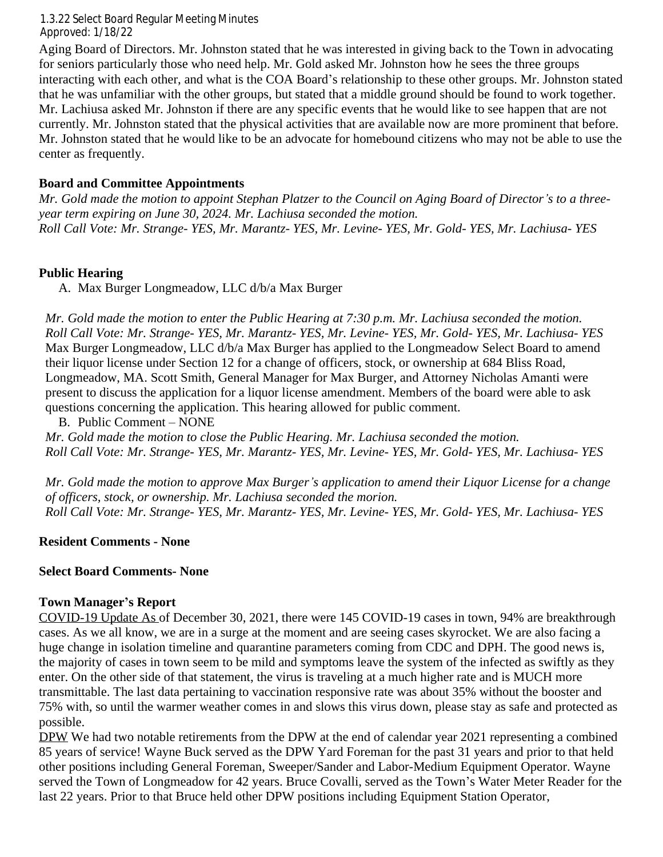interacting with each other, and what is the COA Board's relationship to these other groups. Mr. Johnston stated Aging Board of Directors. Mr. Johnston stated that he was interested in giving back to the Town in advocating for seniors particularly those who need help. Mr. Gold asked Mr. Johnston how he sees the three groups that he was unfamiliar with the other groups, but stated that a middle ground should be found to work together. Mr. Lachiusa asked Mr. Johnston if there are any specific events that he would like to see happen that are not currently. Mr. Johnston stated that the physical activities that are available now are more prominent that before. Mr. Johnston stated that he would like to be an advocate for homebound citizens who may not be able to use the center as frequently.

# **Board and Committee Appointments**

*Mr. Gold made the motion to appoint Stephan Platzer to the Council on Aging Board of Director's to a threeyear term expiring on June 30, 2024. Mr. Lachiusa seconded the motion. Roll Call Vote: Mr. Strange- YES, Mr. Marantz- YES, Mr. Levine- YES, Mr. Gold- YES, Mr. Lachiusa- YES*

# **Public Hearing**

A. Max Burger Longmeadow, LLC d/b/a Max Burger

*Mr. Gold made the motion to enter the Public Hearing at 7:30 p.m. Mr. Lachiusa seconded the motion. Roll Call Vote: Mr. Strange- YES, Mr. Marantz- YES, Mr. Levine- YES, Mr. Gold- YES, Mr. Lachiusa- YES* Max Burger Longmeadow, LLC d/b/a Max Burger has applied to the Longmeadow Select Board to amend their liquor license under Section 12 for a change of officers, stock, or ownership at 684 Bliss Road, Longmeadow, MA. Scott Smith, General Manager for Max Burger, and Attorney Nicholas Amanti were present to discuss the application for a liquor license amendment. Members of the board were able to ask questions concerning the application. This hearing allowed for public comment.

B. Public Comment – NONE *Mr. Gold made the motion to close the Public Hearing. Mr. Lachiusa seconded the motion. Roll Call Vote: Mr. Strange- YES, Mr. Marantz- YES, Mr. Levine- YES, Mr. Gold- YES, Mr. Lachiusa- YES*

*Mr. Gold made the motion to approve Max Burger's application to amend their Liquor License for a change of officers, stock, or ownership. Mr. Lachiusa seconded the morion. Roll Call Vote: Mr. Strange- YES, Mr. Marantz- YES, Mr. Levine- YES, Mr. Gold- YES, Mr. Lachiusa- YES*

# **Resident Comments - None**

# **Select Board Comments- None**

# **Town Manager's Report**

COVID-19 Update As of December 30, 2021, there were 145 COVID-19 cases in town, 94% are breakthrough cases. As we all know, we are in a surge at the moment and are seeing cases skyrocket. We are also facing a huge change in isolation timeline and quarantine parameters coming from CDC and DPH. The good news is, the majority of cases in town seem to be mild and symptoms leave the system of the infected as swiftly as they enter. On the other side of that statement, the virus is traveling at a much higher rate and is MUCH more transmittable. The last data pertaining to vaccination responsive rate was about 35% without the booster and 75% with, so until the warmer weather comes in and slows this virus down, please stay as safe and protected as possible.

DPW We had two notable retirements from the DPW at the end of calendar year 2021 representing a combined 85 years of service! Wayne Buck served as the DPW Yard Foreman for the past 31 years and prior to that held other positions including General Foreman, Sweeper/Sander and Labor-Medium Equipment Operator. Wayne served the Town of Longmeadow for 42 years. Bruce Covalli, served as the Town's Water Meter Reader for the last 22 years. Prior to that Bruce held other DPW positions including Equipment Station Operator,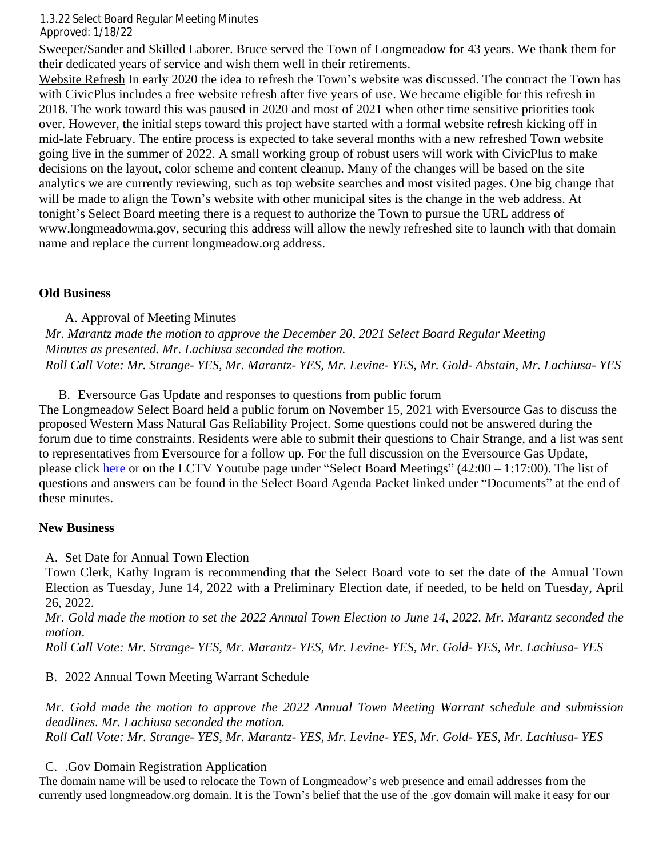Sweeper/Sander and Skilled Laborer. Bruce served the Town of Longmeadow for 43 years. We thank them for their dedicated years of service and wish them well in their retirements.

Approved – Pending Website Refresh In early 2020 the idea to refresh the Town's website was discussed. The contract the Town has with CivicPlus includes a free website refresh after five years of use. We became eligible for this refresh in 2018. The work toward this was paused in 2020 and most of 2021 when other time sensitive priorities took over. However, the initial steps toward this project have started with a formal website refresh kicking off in mid-late February. The entire process is expected to take several months with a new refreshed Town website going live in the summer of 2022. A small working group of robust users will work with CivicPlus to make decisions on the layout, color scheme and content cleanup. Many of the changes will be based on the site analytics we are currently reviewing, such as top website searches and most visited pages. One big change that will be made to align the Town's website with other municipal sites is the change in the web address. At tonight's Select Board meeting there is a request to authorize the Town to pursue the URL address of www.longmeadowma.gov, securing this address will allow the newly refreshed site to launch with that domain name and replace the current longmeadow.org address.

# **Old Business**

A. Approval of Meeting Minutes *Mr. Marantz made the motion to approve the December 20, 2021 Select Board Regular Meeting Minutes as presented. Mr. Lachiusa seconded the motion. Roll Call Vote: Mr. Strange- YES, Mr. Marantz- YES, Mr. Levine- YES, Mr. Gold- Abstain, Mr. Lachiusa- YES*

B. Eversource Gas Update and responses to questions from public forum

The Longmeadow Select Board held a public forum on November 15, 2021 with Eversource Gas to discuss the proposed Western Mass Natural Gas Reliability Project. Some questions could not be answered during the forum due to time constraints. Residents were able to submit their questions to Chair Strange, and a list was sent to representatives from Eversource for a follow up. For the full discussion on the Eversource Gas Update, please click [here](https://www.youtube.com/watch?v=53Us5OOYojU&list=PLDEmFQOMKpX7DAn_FmzNHMqZig_vNfa1Q) or on the LCTV Youtube page under "Select Board Meetings"  $(42:00 - 1:17:00)$ . The list of questions and answers can be found in the Select Board Agenda Packet linked under "Documents" at the end of these minutes.

#### **New Business**

A. Set Date for Annual Town Election

Town Clerk, Kathy Ingram is recommending that the Select Board vote to set the date of the Annual Town Election as Tuesday, June 14, 2022 with a Preliminary Election date, if needed, to be held on Tuesday, April 26, 2022.

Mr. Gold made the motion to set the 2022 Annual Town Election to June 14, 2022. Mr. Marantz seconded the *motion*.

*Roll Call Vote: Mr. Strange- YES, Mr. Marantz- YES, Mr. Levine- YES, Mr. Gold- YES, Mr. Lachiusa- YES*

# B. 2022 Annual Town Meeting Warrant Schedule

*Mr. Gold made the motion to approve the 2022 Annual Town Meeting Warrant schedule and submission deadlines. Mr. Lachiusa seconded the motion. Roll Call Vote: Mr. Strange- YES, Mr. Marantz- YES, Mr. Levine- YES, Mr. Gold- YES, Mr. Lachiusa- YES*

C. .Gov Domain Registration Application

The domain name will be used to relocate the Town of Longmeadow's web presence and email addresses from the currently used longmeadow.org domain. It is the Town's belief that the use of the .gov domain will make it easy for our